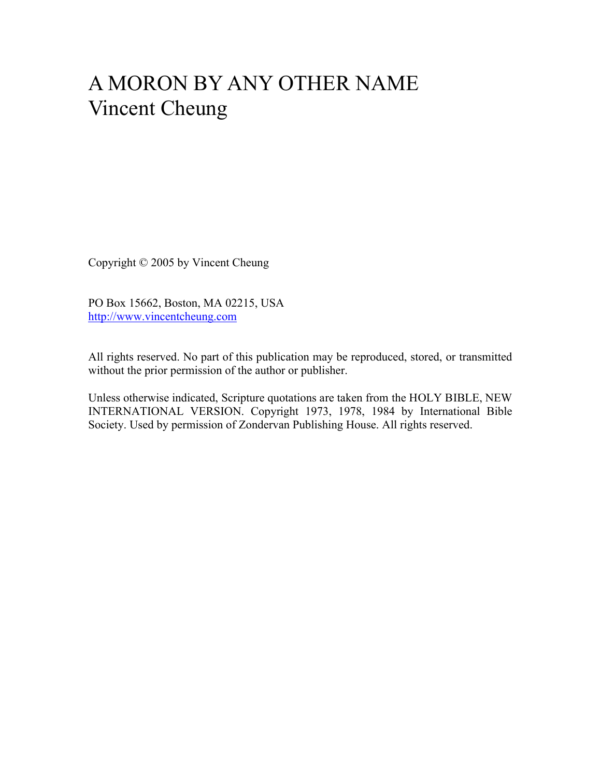# A MORON BY ANY OTHER NAME Vincent Cheung

Copyright © 2005 by Vincent Cheung

PO Box 15662, Boston, MA 02215, USA http://www.vincentcheung.com

All rights reserved. No part of this publication may be reproduced, stored, or transmitted without the prior permission of the author or publisher.

Unless otherwise indicated, Scripture quotations are taken from the HOLY BIBLE, NEW INTERNATIONAL VERSION. Copyright 1973, 1978, 1984 by International Bible Society. Used by permission of Zondervan Publishing House. All rights reserved.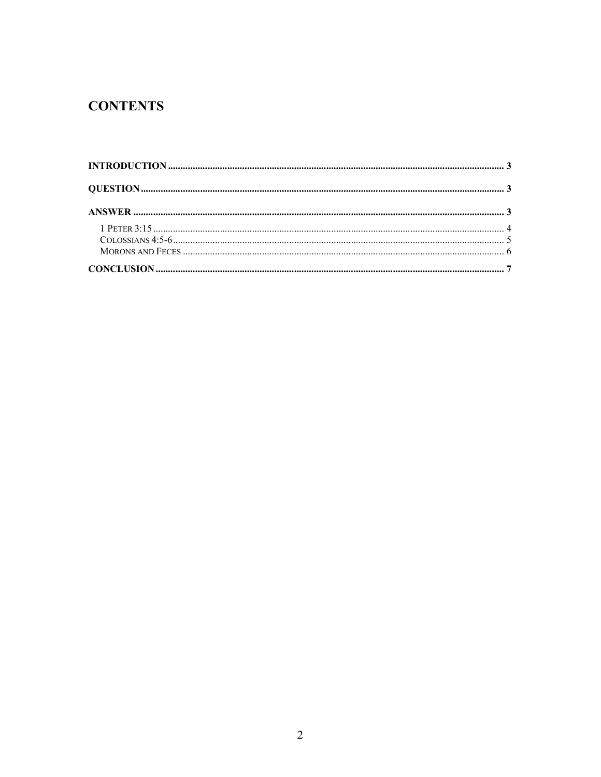# **CONTENTS**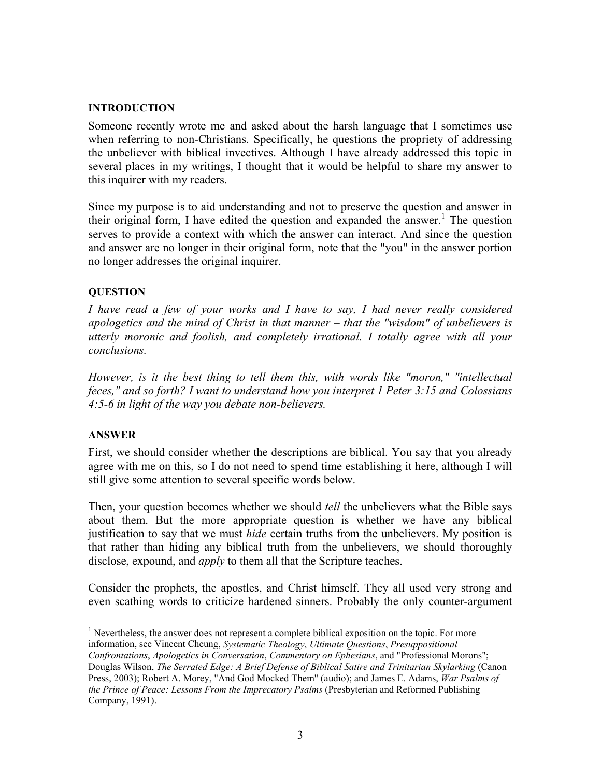#### **INTRODUCTION**

Someone recently wrote me and asked about the harsh language that I sometimes use when referring to non-Christians. Specifically, he questions the propriety of addressing the unbeliever with biblical invectives. Although I have already addressed this topic in several places in my writings, I thought that it would be helpful to share my answer to this inquirer with my readers.

Since my purpose is to aid understanding and not to preserve the question and answer in their original form, I have edited the question and expanded the answer.<sup>1</sup> The question serves to provide a context with which the answer can interact. And since the question and answer are no longer in their original form, note that the "you" in the answer portion no longer addresses the original inquirer.

## **QUESTION**

*I have read a few of your works and I have to say, I had never really considered apologetics and the mind of Christ in that manner – that the "wisdom" of unbelievers is utterly moronic and foolish, and completely irrational. I totally agree with all your conclusions.*

*However, is it the best thing to tell them this, with words like "moron," "intellectual feces," and so forth? I want to understand how you interpret 1 Peter 3:15 and Colossians 4:5-6 in light of the way you debate non-believers.*

## **ANSWER**

First, we should consider whether the descriptions are biblical. You say that you already agree with me on this, so I do not need to spend time establishing it here, although I will still give some attention to several specific words below.

Then, your question becomes whether we should *tell* the unbelievers what the Bible says about them. But the more appropriate question is whether we have any biblical justification to say that we must *hide* certain truths from the unbelievers. My position is that rather than hiding any biblical truth from the unbelievers, we should thoroughly disclose, expound, and *apply* to them all that the Scripture teaches.

Consider the prophets, the apostles, and Christ himself. They all used very strong and even scathing words to criticize hardened sinners. Probably the only counter-argument

 $\overline{a}$  $<sup>1</sup>$  Nevertheless, the answer does not represent a complete biblical exposition on the topic. For more</sup> information, see Vincent Cheung, *Systematic Theology*, *Ultimate Questions*, *Presuppositional*

*Confrontations*, *Apologetics in Conversation*, *Commentary on Ephesians*, and "Professional Morons"; Douglas Wilson, *The Serrated Edge: A Brief Defense of Biblical Satire and Trinitarian Skylarking* (Canon Press, 2003); Robert A. Morey, "And God Mocked Them" (audio); and James E. Adams, *War Psalms of the Prince of Peace: Lessons From the Imprecatory Psalms* (Presbyterian and Reformed Publishing Company, 1991).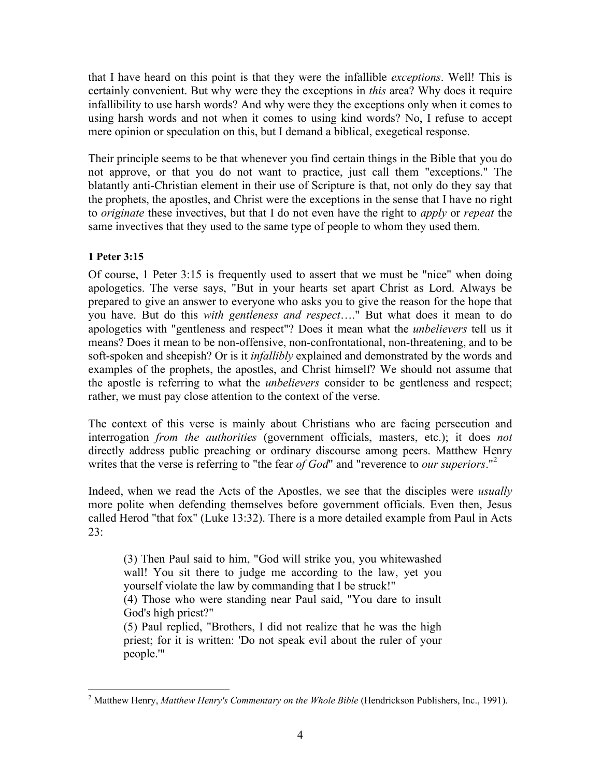that I have heard on this point is that they were the infallible *exceptions*. Well! This is certainly convenient. But why were they the exceptions in *this* area? Why does it require infallibility to use harsh words? And why were they the exceptions only when it comes to using harsh words and not when it comes to using kind words? No, I refuse to accept mere opinion or speculation on this, but I demand a biblical, exegetical response.

Their principle seems to be that whenever you find certain things in the Bible that you do not approve, or that you do not want to practice, just call them "exceptions." The blatantly anti-Christian element in their use of Scripture is that, not only do they say that the prophets, the apostles, and Christ were the exceptions in the sense that I have no right to *originate* these invectives, but that I do not even have the right to *apply* or *repeat* the same invectives that they used to the same type of people to whom they used them.

# **1 Peter 3:15**

 $\overline{a}$ 

Of course, 1 Peter 3:15 is frequently used to assert that we must be "nice" when doing apologetics. The verse says, "But in your hearts set apart Christ as Lord. Always be prepared to give an answer to everyone who asks you to give the reason for the hope that you have. But do this *with gentleness and respect*…." But what does it mean to do apologetics with "gentleness and respect"? Does it mean what the *unbelievers* tell us it means? Does it mean to be non-offensive, non-confrontational, non-threatening, and to be soft-spoken and sheepish? Or is it *infallibly* explained and demonstrated by the words and examples of the prophets, the apostles, and Christ himself? We should not assume that the apostle is referring to what the *unbelievers* consider to be gentleness and respect; rather, we must pay close attention to the context of the verse.

The context of this verse is mainly about Christians who are facing persecution and interrogation *from the authorities* (government officials, masters, etc.); it does *not* directly address public preaching or ordinary discourse among peers. Matthew Henry writes that the verse is referring to "the fear *of God*" and "reverence to *our superiors*."2

Indeed, when we read the Acts of the Apostles, we see that the disciples were *usually* more polite when defending themselves before government officials. Even then, Jesus called Herod "that fox" (Luke 13:32). There is a more detailed example from Paul in Acts  $23:$ 

(3) Then Paul said to him, "God will strike you, you whitewashed wall! You sit there to judge me according to the law, yet you yourself violate the law by commanding that I be struck!" (4) Those who were standing near Paul said, "You dare to insult God's high priest?" (5) Paul replied, "Brothers, I did not realize that he was the high

priest; for it is written: 'Do not speak evil about the ruler of your people.'"

<sup>2</sup> Matthew Henry, *Matthew Henry's Commentary on the Whole Bible* (Hendrickson Publishers, Inc., 1991).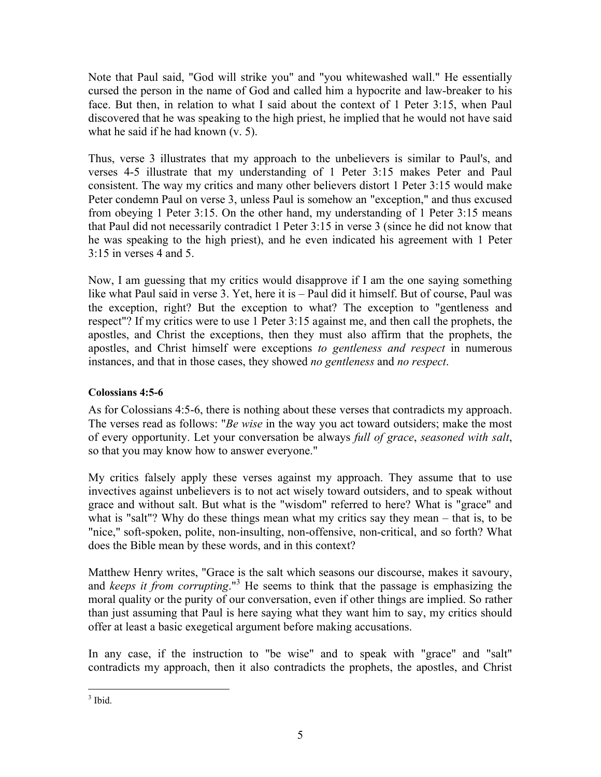Note that Paul said, "God will strike you" and "you whitewashed wall." He essentially cursed the person in the name of God and called him a hypocrite and law-breaker to his face. But then, in relation to what I said about the context of 1 Peter 3:15, when Paul discovered that he was speaking to the high priest, he implied that he would not have said what he said if he had known (v. 5).

Thus, verse 3 illustrates that my approach to the unbelievers is similar to Paul's, and verses 4-5 illustrate that my understanding of 1 Peter 3:15 makes Peter and Paul consistent. The way my critics and many other believers distort 1 Peter 3:15 would make Peter condemn Paul on verse 3, unless Paul is somehow an "exception," and thus excused from obeying 1 Peter 3:15. On the other hand, my understanding of 1 Peter 3:15 means that Paul did not necessarily contradict 1 Peter 3:15 in verse 3 (since he did not know that he was speaking to the high priest), and he even indicated his agreement with 1 Peter 3:15 in verses 4 and 5.

Now, I am guessing that my critics would disapprove if I am the one saying something like what Paul said in verse 3. Yet, here it is – Paul did it himself. But of course, Paul was the exception, right? But the exception to what? The exception to "gentleness and respect"? If my critics were to use 1 Peter 3:15 against me, and then call the prophets, the apostles, and Christ the exceptions, then they must also affirm that the prophets, the apostles, and Christ himself were exceptions *to gentleness and respect* in numerous instances, and that in those cases, they showed *no gentleness* and *no respect*.

## **Colossians 4:5-6**

As for Colossians 4:5-6, there is nothing about these verses that contradicts my approach. The verses read as follows: "*Be wise* in the way you act toward outsiders; make the most of every opportunity. Let your conversation be always *full of grace*, *seasoned with salt*, so that you may know how to answer everyone."

My critics falsely apply these verses against my approach. They assume that to use invectives against unbelievers is to not act wisely toward outsiders, and to speak without grace and without salt. But what is the "wisdom" referred to here? What is "grace" and what is "salt"? Why do these things mean what my critics say they mean – that is, to be "nice," soft-spoken, polite, non-insulting, non-offensive, non-critical, and so forth? What does the Bible mean by these words, and in this context?

Matthew Henry writes, "Grace is the salt which seasons our discourse, makes it savoury, and *keeps it from corrupting*."<sup>3</sup> He seems to think that the passage is emphasizing the moral quality or the purity of our conversation, even if other things are implied. So rather than just assuming that Paul is here saying what they want him to say, my critics should offer at least a basic exegetical argument before making accusations.

In any case, if the instruction to "be wise" and to speak with "grace" and "salt" contradicts my approach, then it also contradicts the prophets, the apostles, and Christ

 $\overline{a}$  $3$  Ibid.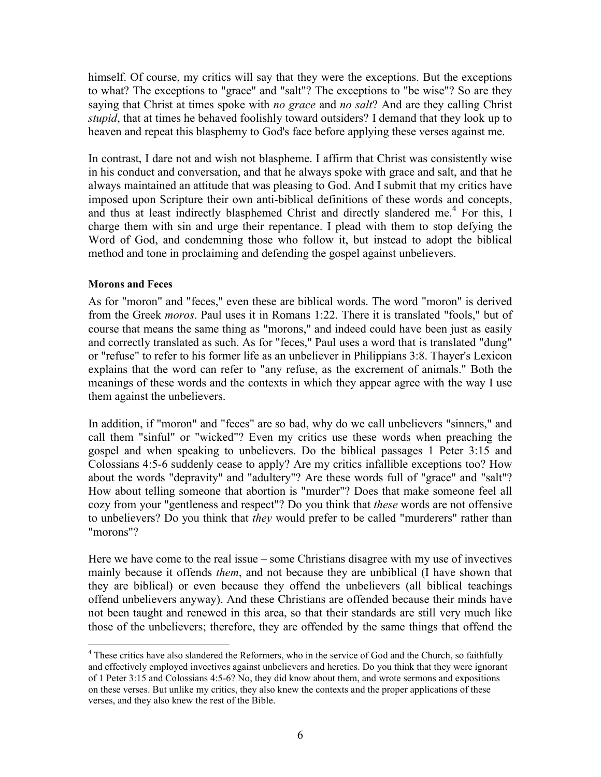himself. Of course, my critics will say that they were the exceptions. But the exceptions to what? The exceptions to "grace" and "salt"? The exceptions to "be wise"? So are they saying that Christ at times spoke with *no grace* and *no salt*? And are they calling Christ *stupid*, that at times he behaved foolishly toward outsiders? I demand that they look up to heaven and repeat this blasphemy to God's face before applying these verses against me.

In contrast, I dare not and wish not blaspheme. I affirm that Christ was consistently wise in his conduct and conversation, and that he always spoke with grace and salt, and that he always maintained an attitude that was pleasing to God. And I submit that my critics have imposed upon Scripture their own anti-biblical definitions of these words and concepts, and thus at least indirectly blasphemed Christ and directly slandered me.<sup>4</sup> For this, I charge them with sin and urge their repentance. I plead with them to stop defying the Word of God, and condemning those who follow it, but instead to adopt the biblical method and tone in proclaiming and defending the gospel against unbelievers.

#### **Morons and Feces**

 $\overline{a}$ 

As for "moron" and "feces," even these are biblical words. The word "moron" is derived from the Greek *moros*. Paul uses it in Romans 1:22. There it is translated "fools," but of course that means the same thing as "morons," and indeed could have been just as easily and correctly translated as such. As for "feces," Paul uses a word that is translated "dung" or "refuse" to refer to his former life as an unbeliever in Philippians 3:8. Thayer's Lexicon explains that the word can refer to "any refuse, as the excrement of animals." Both the meanings of these words and the contexts in which they appear agree with the way I use them against the unbelievers.

In addition, if "moron" and "feces" are so bad, why do we call unbelievers "sinners," and call them "sinful" or "wicked"? Even my critics use these words when preaching the gospel and when speaking to unbelievers. Do the biblical passages 1 Peter 3:15 and Colossians 4:5-6 suddenly cease to apply? Are my critics infallible exceptions too? How about the words "depravity" and "adultery"? Are these words full of "grace" and "salt"? How about telling someone that abortion is "murder"? Does that make someone feel all cozy from your "gentleness and respect"? Do you think that *these* words are not offensive to unbelievers? Do you think that *they* would prefer to be called "murderers" rather than "morons"?

Here we have come to the real issue – some Christians disagree with my use of invectives mainly because it offends *them*, and not because they are unbiblical (I have shown that they are biblical) or even because they offend the unbelievers (all biblical teachings offend unbelievers anyway). And these Christians are offended because their minds have not been taught and renewed in this area, so that their standards are still very much like those of the unbelievers; therefore, they are offended by the same things that offend the

<sup>&</sup>lt;sup>4</sup> These critics have also slandered the Reformers, who in the service of God and the Church, so faithfully and effectively employed invectives against unbelievers and heretics. Do you think that they were ignorant of 1 Peter 3:15 and Colossians 4:5-6? No, they did know about them, and wrote sermons and expositions on these verses. But unlike my critics, they also knew the contexts and the proper applications of these verses, and they also knew the rest of the Bible.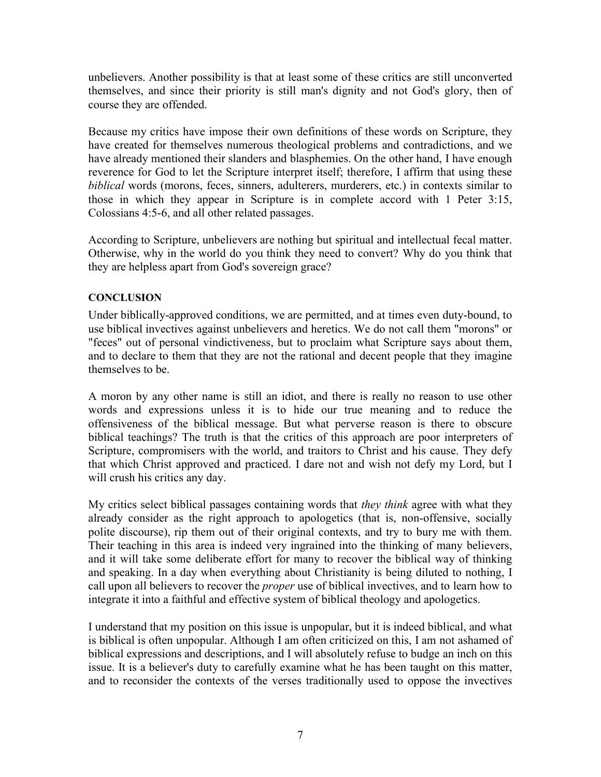unbelievers. Another possibility is that at least some of these critics are still unconverted themselves, and since their priority is still man's dignity and not God's glory, then of course they are offended.

Because my critics have impose their own definitions of these words on Scripture, they have created for themselves numerous theological problems and contradictions, and we have already mentioned their slanders and blasphemies. On the other hand, I have enough reverence for God to let the Scripture interpret itself; therefore, I affirm that using these *biblical* words (morons, feces, sinners, adulterers, murderers, etc.) in contexts similar to those in which they appear in Scripture is in complete accord with 1 Peter 3:15, Colossians 4:5-6, and all other related passages.

According to Scripture, unbelievers are nothing but spiritual and intellectual fecal matter. Otherwise, why in the world do you think they need to convert? Why do you think that they are helpless apart from God's sovereign grace?

#### **CONCLUSION**

Under biblically-approved conditions, we are permitted, and at times even duty-bound, to use biblical invectives against unbelievers and heretics. We do not call them "morons" or "feces" out of personal vindictiveness, but to proclaim what Scripture says about them, and to declare to them that they are not the rational and decent people that they imagine themselves to be.

A moron by any other name is still an idiot, and there is really no reason to use other words and expressions unless it is to hide our true meaning and to reduce the offensiveness of the biblical message. But what perverse reason is there to obscure biblical teachings? The truth is that the critics of this approach are poor interpreters of Scripture, compromisers with the world, and traitors to Christ and his cause. They defy that which Christ approved and practiced. I dare not and wish not defy my Lord, but I will crush his critics any day.

My critics select biblical passages containing words that *they think* agree with what they already consider as the right approach to apologetics (that is, non-offensive, socially polite discourse), rip them out of their original contexts, and try to bury me with them. Their teaching in this area is indeed very ingrained into the thinking of many believers, and it will take some deliberate effort for many to recover the biblical way of thinking and speaking. In a day when everything about Christianity is being diluted to nothing, I call upon all believers to recover the *proper* use of biblical invectives, and to learn how to integrate it into a faithful and effective system of biblical theology and apologetics.

I understand that my position on this issue is unpopular, but it is indeed biblical, and what is biblical is often unpopular. Although I am often criticized on this, I am not ashamed of biblical expressions and descriptions, and I will absolutely refuse to budge an inch on this issue. It is a believer's duty to carefully examine what he has been taught on this matter, and to reconsider the contexts of the verses traditionally used to oppose the invectives